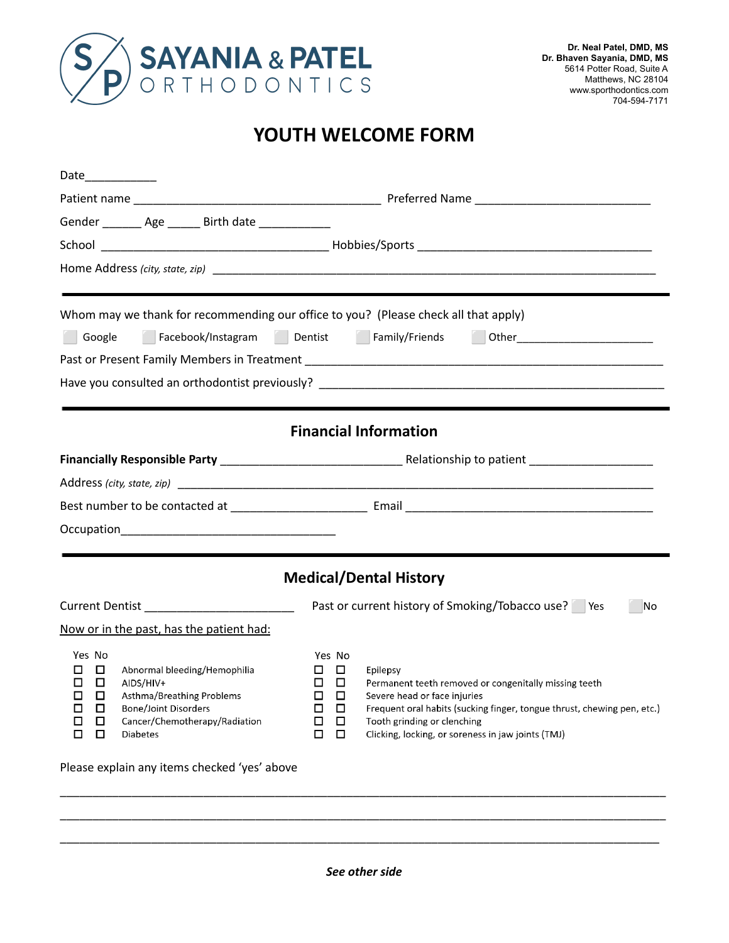

## **YOUTH WELCOME FORM**

| Date____________                                                                                                                                                                                                                     |                                                                                        |                                                                                                                                                                                                                                                                   |  |  |  |
|--------------------------------------------------------------------------------------------------------------------------------------------------------------------------------------------------------------------------------------|----------------------------------------------------------------------------------------|-------------------------------------------------------------------------------------------------------------------------------------------------------------------------------------------------------------------------------------------------------------------|--|--|--|
|                                                                                                                                                                                                                                      |                                                                                        |                                                                                                                                                                                                                                                                   |  |  |  |
| Gender ________ Age _______ Birth date _____________                                                                                                                                                                                 |                                                                                        |                                                                                                                                                                                                                                                                   |  |  |  |
|                                                                                                                                                                                                                                      |                                                                                        |                                                                                                                                                                                                                                                                   |  |  |  |
|                                                                                                                                                                                                                                      |                                                                                        |                                                                                                                                                                                                                                                                   |  |  |  |
|                                                                                                                                                                                                                                      |                                                                                        |                                                                                                                                                                                                                                                                   |  |  |  |
| Whom may we thank for recommending our office to you? (Please check all that apply)                                                                                                                                                  |                                                                                        |                                                                                                                                                                                                                                                                   |  |  |  |
| Facebook/Instagram Dentist Family/Friends Other Communications Dental<br>Google                                                                                                                                                      |                                                                                        |                                                                                                                                                                                                                                                                   |  |  |  |
|                                                                                                                                                                                                                                      |                                                                                        |                                                                                                                                                                                                                                                                   |  |  |  |
|                                                                                                                                                                                                                                      |                                                                                        |                                                                                                                                                                                                                                                                   |  |  |  |
|                                                                                                                                                                                                                                      |                                                                                        |                                                                                                                                                                                                                                                                   |  |  |  |
|                                                                                                                                                                                                                                      |                                                                                        | <b>Financial Information</b>                                                                                                                                                                                                                                      |  |  |  |
|                                                                                                                                                                                                                                      |                                                                                        |                                                                                                                                                                                                                                                                   |  |  |  |
|                                                                                                                                                                                                                                      |                                                                                        |                                                                                                                                                                                                                                                                   |  |  |  |
|                                                                                                                                                                                                                                      |                                                                                        |                                                                                                                                                                                                                                                                   |  |  |  |
|                                                                                                                                                                                                                                      |                                                                                        |                                                                                                                                                                                                                                                                   |  |  |  |
|                                                                                                                                                                                                                                      |                                                                                        |                                                                                                                                                                                                                                                                   |  |  |  |
|                                                                                                                                                                                                                                      |                                                                                        | <b>Medical/Dental History</b>                                                                                                                                                                                                                                     |  |  |  |
| Current Dentist _________________________                                                                                                                                                                                            | Past or current history of Smoking/Tobacco use?   Yes<br>No                            |                                                                                                                                                                                                                                                                   |  |  |  |
| Now or in the past, has the patient had:                                                                                                                                                                                             |                                                                                        |                                                                                                                                                                                                                                                                   |  |  |  |
| Yes No<br>□<br>Abnormal bleeding/Hemophilia<br>П<br>□<br>□<br>AIDS/HIV+<br>□<br>□<br>Asthma/Breathing Problems<br><b>Bone/Joint Disorders</b><br>□<br>□<br>$\Box$<br>Cancer/Chemotherapy/Radiation<br>$\Box$<br>□<br><b>Diabetes</b> | Yes No<br>□<br>$\Box$<br>$\Box$<br>$\Box$<br>□<br>□<br>□<br>□<br>□<br>□<br>$\Box$<br>□ | Epilepsy<br>Permanent teeth removed or congenitally missing teeth<br>Severe head or face injuries<br>Frequent oral habits (sucking finger, tongue thrust, chewing pen, etc.)<br>Tooth grinding or clenching<br>Clicking, locking, or soreness in jaw joints (TMJ) |  |  |  |
| Please explain any items checked 'yes' above                                                                                                                                                                                         |                                                                                        |                                                                                                                                                                                                                                                                   |  |  |  |

\_\_\_\_\_\_\_\_\_\_\_\_\_\_\_\_\_\_\_\_\_\_\_\_\_\_\_\_\_\_\_\_\_\_\_\_\_\_\_\_\_\_\_\_\_\_\_\_\_\_\_\_\_\_\_\_\_\_\_\_\_\_\_\_\_\_\_\_\_\_\_\_\_\_\_\_\_\_\_\_\_\_\_\_\_\_\_\_\_\_\_\_